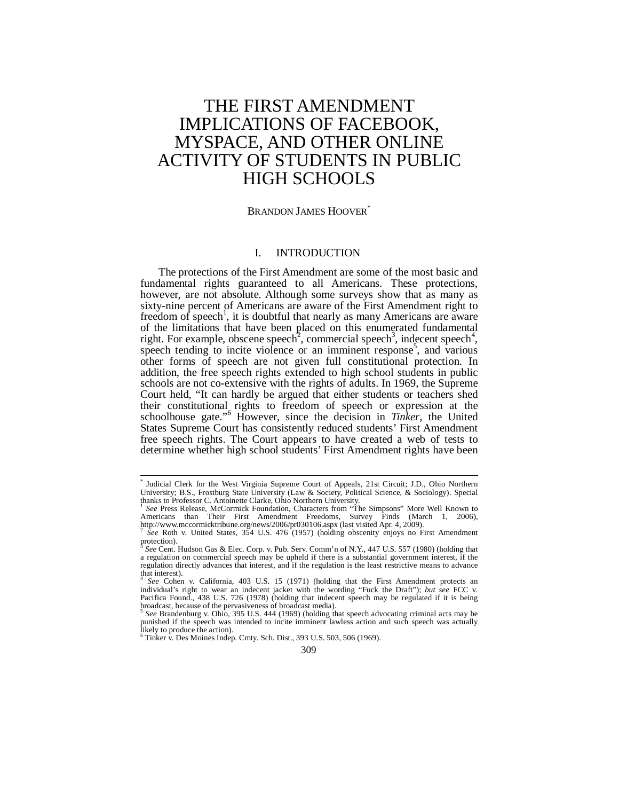# THE FIRST AMENDMENT IMPLICATIONS OF FACEBOOK, MYSPACE, AND OTHER ONLINE ACTIVITY OF STUDENTS IN PUBLIC HIGH SCHOOLS

# BRANDON JAMES HOOVER<sup>\*</sup>

# I. INTRODUCTION

The protections of the First Amendment are some of the most basic and fundamental rights guaranteed to all Americans. These protections, however, are not absolute. Although some surveys show that as many as sixty-nine percent of Americans are aware of the First Amendment right to freedom of speech<sup>1</sup>, it is doubtful that nearly as many Americans are aware of the limitations that have been placed on this enumerated fundamental right. For example, obscene speech<sup>2</sup>, commercial speech<sup>3</sup>, indecent speech<sup>4</sup>, speech tending to incite violence or an imminent response<sup>5</sup>, and various other forms of speech are not given full constitutional protection. In addition, the free speech rights extended to high school students in public schools are not co-extensive with the rights of adults. In 1969, the Supreme Court held, "It can hardly be argued that either students or teachers shed their constitutional rights to freedom of speech or expression at the schoolhouse gate."<sup>6</sup> However, since the decision in *Tinker*, the United States Supreme Court has consistently reduced students' First Amendment free speech rights. The Court appears to have created a web of tests to determine whether high school students' First Amendment rights have been

 \* Judicial Clerk for the West Virginia Supreme Court of Appeals, 21st Circuit; J.D., Ohio Northern University; B.S., Frostburg State University (Law & Society, Political Science, & Sociology). Special thanks to Professor C. Antoinette Clarke, Ohio Northern University.

<sup>&</sup>lt;sup>1</sup> See Press Release, McCormick Foundation, Characters from "The Simpsons" More Well Known to Americans than Their First Amendment Freedoms, Survey Finds (March 1, 2006),<br>http://www.mccormicktribune.org/news/2006/pr030106.aspx (last visited Apr. 4, 2009).<br><sup>2</sup> See Roth v. United States, 354 U.S. 476 (1957) (holding

protection).

<sup>3</sup> *See* Cent. Hudson Gas & Elec. Corp. v. Pub. Serv. Comm'n of N.Y., 447 U.S. 557 (1980) (holding that a regulation on commercial speech may be upheld if there is a substantial government interest, if the regulation directly advances that interest, and if the regulation is the least restrictive means to advance that interest).

<sup>4</sup> *See* Cohen v. California, 403 U.S. 15 (1971) (holding that the First Amendment protects an individual's right to wear an indecent jacket with the wording "Fuck the Draft"); *but see* FCC v. Pacifica Found., 438 U.S. 726 (1978) (holding that indecent speech may be regulated if it is being broadcast, because of the pervasiveness of broadcast media).

<sup>5</sup> *See* Brandenburg v. Ohio, 395 U.S. 444 (1969) (holding that speech advocating criminal acts may be punished if the speech was intended to incite imminent lawless action and such speech was actually likely to produce the action).

 $6$  Tinker v. Des Moines Indep. Cmty. Sch. Dist., 393 U.S. 503, 506 (1969).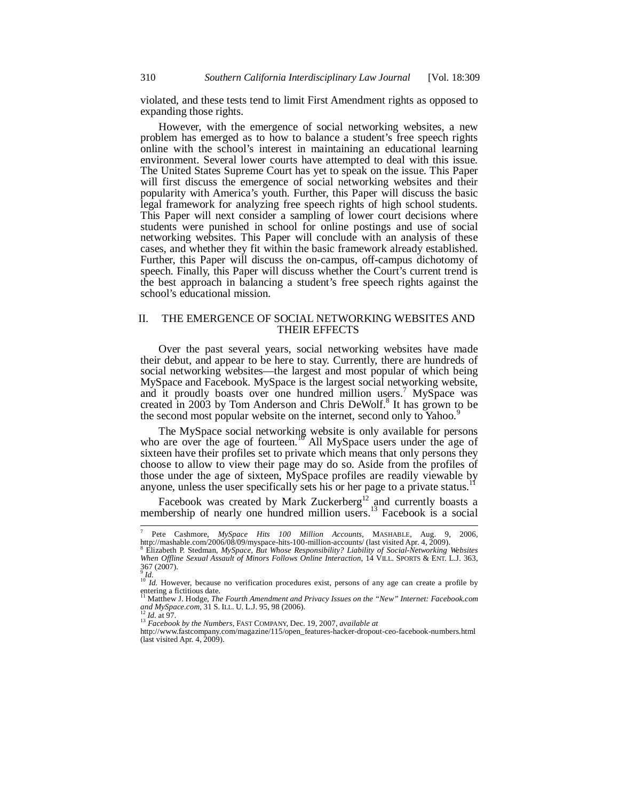violated, and these tests tend to limit First Amendment rights as opposed to expanding those rights.

However, with the emergence of social networking websites, a new problem has emerged as to how to balance a student's free speech rights online with the school's interest in maintaining an educational learning environment. Several lower courts have attempted to deal with this issue. The United States Supreme Court has yet to speak on the issue. This Paper will first discuss the emergence of social networking websites and their popularity with America's youth. Further, this Paper will discuss the basic legal framework for analyzing free speech rights of high school students. This Paper will next consider a sampling of lower court decisions where students were punished in school for online postings and use of social networking websites. This Paper will conclude with an analysis of these cases, and whether they fit within the basic framework already established. Further, this Paper will discuss the on-campus, off-campus dichotomy of speech. Finally, this Paper will discuss whether the Court's current trend is the best approach in balancing a student's free speech rights against the school's educational mission.

### II. THE EMERGENCE OF SOCIAL NETWORKING WEBSITES AND THEIR EFFECTS

Over the past several years, social networking websites have made their debut, and appear to be here to stay. Currently, there are hundreds of social networking websites—the largest and most popular of which being MySpace and Facebook. MySpace is the largest social networking website, and it proudly boasts over one hundred million users.<sup>7</sup> MySpace was created in 2003 by Tom Anderson and Chris DeWolf.<sup>8</sup> It has grown to be the second most popular website on the internet, second only to Yahoo.<sup>9</sup>

The MySpace social networking website is only available for persons who are over the age of fourteen.<sup>10</sup> All MySpace users under the age of sixteen have their profiles set to private which means that only persons they choose to allow to view their page may do so. Aside from the profiles of those under the age of sixteen, MySpace profiles are readily viewable by anyone, unless the user specifically sets his or her page to a private status.<sup>1</sup>

Facebook was created by Mark Zuckerberg $12$  and currently boasts a membership of nearly one hundred million users.<sup>13</sup> Facebook is a social

l 7 Pete Cashmore, *MySpace Hits 100 Million Accounts*, MASHABLE, Aug. 9, 2006,

http://mashable.com/2006/08/09/myspace-hits-100-million-accounts/ (last visited Apr. 4, 2009).<br><sup>8</sup> Elizabeth P. Stedman, *MySpace, But Whose Responsibility? Liability of Social-Networking Websites When Offline Sexual Assault of Minors Follows Online Interaction*, 14 VILL. SPORTS & ENT. L.J. 363,  $367(2007)$ .

<sup>&</sup>lt;sup>9</sup> *Id.* <sup>10</sup> *Id.* However, because no verification procedures exist, persons of any age can create a profile by <sup>10</sup> *Id.* However, because no verification procedures exist, persons of any age can create a profile by entering a fictitious date.<br><sup>11</sup> Matthew J. Hodge, *The Fourth Amendment and Privacy Issues on the "New" Internet: Facebook.com* 

*and MySpace.com*, 31 S. ILL. U. L.J. 95, 98 (2006).<br><sup>12</sup> *Id.* at 97. 13 *Facebook by the Numbers*, FAST COMPANY, Dec. 19, 2007, *available at* 

http://www.fastcompany.com/magazine/115/open\_features-hacker-dropout-ceo-facebook-numbers.html (last visited Apr. 4,  $2009$ ).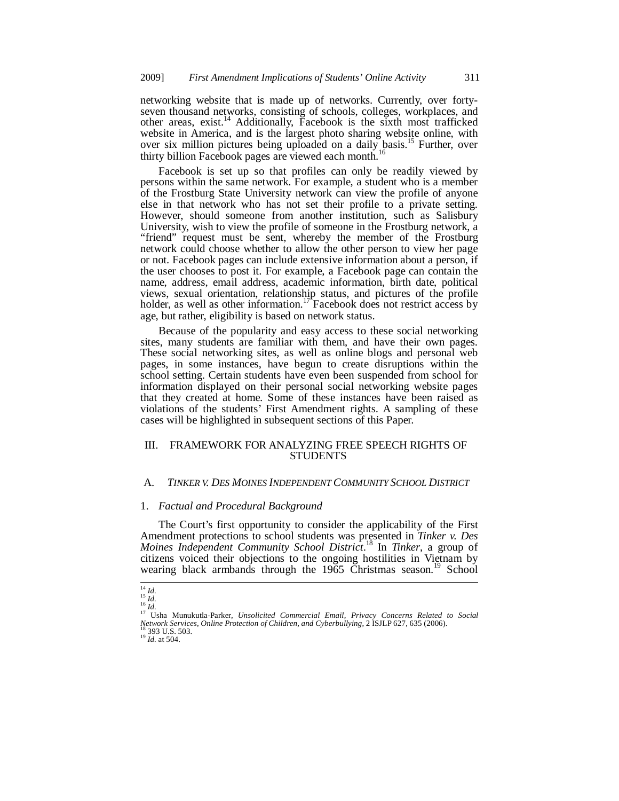networking website that is made up of networks. Currently, over fortyseven thousand networks, consisting of schools, colleges, workplaces, and other areas, exist.14 Additionally, Facebook is the sixth most trafficked website in America, and is the largest photo sharing website online, with over six million pictures being uploaded on a daily basis.15 Further, over thirty billion Facebook pages are viewed each month.<sup>16</sup>

Facebook is set up so that profiles can only be readily viewed by persons within the same network. For example, a student who is a member of the Frostburg State University network can view the profile of anyone else in that network who has not set their profile to a private setting. However, should someone from another institution, such as Salisbury University, wish to view the profile of someone in the Frostburg network, a "friend" request must be sent, whereby the member of the Frostburg network could choose whether to allow the other person to view her page or not. Facebook pages can include extensive information about a person, if the user chooses to post it. For example, a Facebook page can contain the name, address, email address, academic information, birth date, political views, sexual orientation, relationship status, and pictures of the profile holder, as well as other information.<sup>17</sup> Facebook does not restrict access by age, but rather, eligibility is based on network status.

Because of the popularity and easy access to these social networking sites, many students are familiar with them, and have their own pages. These social networking sites, as well as online blogs and personal web pages, in some instances, have begun to create disruptions within the school setting. Certain students have even been suspended from school for information displayed on their personal social networking website pages that they created at home. Some of these instances have been raised as violations of the students' First Amendment rights. A sampling of these cases will be highlighted in subsequent sections of this Paper.

# III. FRAMEWORK FOR ANALYZING FREE SPEECH RIGHTS OF STUDENTS

### A. *TINKER V. DES MOINES INDEPENDENT COMMUNITY SCHOOL DISTRICT*

### 1. *Factual and Procedural Background*

The Court's first opportunity to consider the applicability of the First Amendment protections to school students was presented in *Tinker v. Des Moines Independent Community School District*. 18 In *Tinker*, a group of citizens voiced their objections to the ongoing hostilities in Vietnam by wearing black armbands through the 1965 Christmas season.<sup>19</sup> School

 $\int_{15}^{14} I d.$ 

<sup>&</sup>lt;sup>14</sup> *Id.*<br><sup>15</sup> *Id.*<br><sup>16</sup> *Id.* 16 Munukutla-Parker, *Unsolicited Commercial Email, Privacy Concerns Related to Social <sup>17</sup> Usha Munukutla-Parker, <i>Unsolicited Commercial Email, Privacy Concerns Related to Social Network Services, Online Protection of Children, and Cyberbullying, 2 ISJLP 627, 635 (2006).* <sup>18</sup> *Id.* at 504. 19 *Id.* at 504.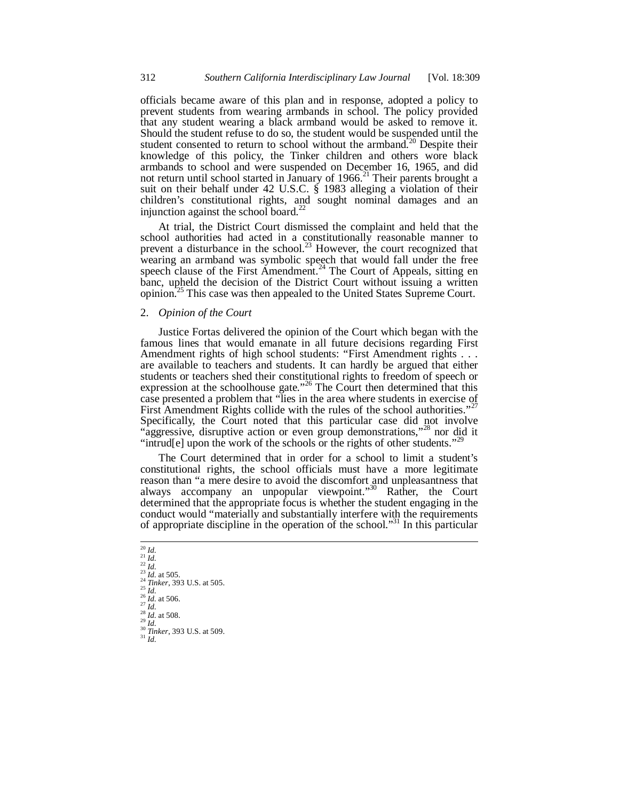officials became aware of this plan and in response, adopted a policy to prevent students from wearing armbands in school. The policy provided that any student wearing a black armband would be asked to remove it. Should the student refuse to do so, the student would be suspended until the student consented to return to school without the armband.<sup>20</sup> Despite their knowledge of this policy, the Tinker children and others wore black armbands to school and were suspended on December 16, 1965, and did not return until school started in January of  $1966$ .<sup>21</sup> Their parents brought a suit on their behalf under 42 U.S.C. § 1983 alleging a violation of their children's constitutional rights, and sought nominal damages and an injunction against the school board.<sup>22</sup>

At trial, the District Court dismissed the complaint and held that the school authorities had acted in a constitutionally reasonable manner to prevent a disturbance in the school.<sup>23</sup> However, the court recognized that wearing an armband was symbolic speech that would fall under the free speech clause of the First Amendment.<sup>24</sup> The Court of Appeals, sitting en banc, upheld the decision of the District Court without issuing a written opinion.<sup>25</sup> This case was then appealed to the United States Supreme Court.

# 2. *Opinion of the Court*

Justice Fortas delivered the opinion of the Court which began with the famous lines that would emanate in all future decisions regarding First Amendment rights of high school students: "First Amendment rights . . . are available to teachers and students. It can hardly be argued that either students or teachers shed their constitutional rights to freedom of speech or expression at the schoolhouse gate."<sup>26</sup> The Court then determined that this case presented a problem that "lies in the area where students in exercise of First Amendment Rights collide with the rules of the school authorities."<sup>27</sup> Specifically, the Court noted that this particular case did not involve "aggressive, disruptive action or even group demonstrations,"<sup>28</sup> nor did it "intrud[e] upon the work of the schools or the rights of other students."<sup>29</sup>

The Court determined that in order for a school to limit a student's constitutional rights, the school officials must have a more legitimate reason than "a mere desire to avoid the discomfort and unpleasantness that always accompany an unpopular viewpoint."<sup>30</sup> Rather, the Court determined that the appropriate focus is whether the student engaging in the conduct would "materially and substantially interfere with the requirements of appropriate discipline in the operation of the school."31 In this particular

 $\frac{1}{20} \frac{Id}{Id}$ .  $\frac{27}{24}$ <br>  $\frac{1}{23}$  *Id.* at 505.<br>  $\frac{24}{24}$  *Tinker*, 393 U.S. at 505.<br>  $\frac{25}{16}$ <br>  $\frac{1}{26}$  *Id.* at 506.<br>  $\frac{28}{16}$ .<br>  $\frac{1}{24}$ .<br>  $\frac{1}{24}$  at 508.<br>  $\frac{1}{24}$ <br>  $\frac{1}{24}$ <br>  $\frac{1}{24}$ <br>  $\frac{1}{24}$ <br>  $\frac{1}{24$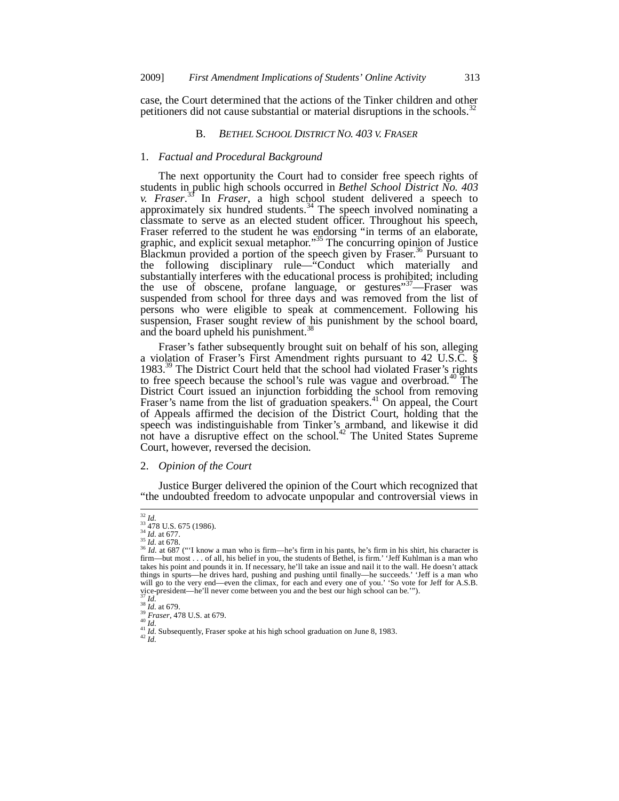case, the Court determined that the actions of the Tinker children and other petitioners did not cause substantial or material disruptions in the schools.<sup>3</sup>

# B. *BETHEL SCHOOL DISTRICT NO. 403 V. FRASER*

### 1. *Factual and Procedural Background*

The next opportunity the Court had to consider free speech rights of students in public high schools occurred in *Bethel School District No. 403 v. Fraser*. 33 In *Fraser*, a high school student delivered a speech to approximately six hundred students.<sup>34</sup> The speech involved nominating a classmate to serve as an elected student officer. Throughout his speech, Fraser referred to the student he was endorsing "in terms of an elaborate, graphic, and explicit sexual metaphor.<sup>35</sup> The concurring opinion of Justice Blackmun provided a portion of the speech given by Fraser.<sup>36</sup> Pursuant to the following disciplinary rule—"Conduct which materially and substantially interferes with the educational process is prohibited; including the use of obscene, profane language, or gestures"<sup>37</sup>—Fraser was suspended from school for three days and was removed from the list of persons who were eligible to speak at commencement. Following his suspension, Fraser sought review of his punishment by the school board, and the board upheld his punishment.<sup>3</sup>

Fraser's father subsequently brought suit on behalf of his son, alleging a violation of Fraser's First Amendment rights pursuant to 42 U.S.C. § 1983.<sup>39</sup> The District Court held that the school had violated Fraser's rights to free speech because the school's rule was vague and overbroad.<sup>40</sup> The District Court issued an injunction forbidding the school from removing Fraser's name from the list of graduation speakers.<sup>41</sup> On appeal, the Court of Appeals affirmed the decision of the District Court, holding that the speech was indistinguishable from Tinker's armband, and likewise it did not have a disruptive effect on the school.<sup>42</sup> The United States Supreme Court, however, reversed the decision.

### 2. *Opinion of the Court*

Justice Burger delivered the opinion of the Court which recognized that "the undoubted freedom to advocate unpopular and controversial views in

 $rac{32 \text{ Id.}}{33 \text{ 478}}$ <br>34 478 U.S. 675 (1986).<br>34 *Id.* at 677.<br>35 *Id.* at 678.

<sup>&</sup>lt;sup>36</sup> *Id.* at 687 ("I know a man who is firm—he's firm in his pants, he's firm in his shirt, his character is firm—but most . . . of all, his belief in you, the students of Bethel, is firm.' 'Jeff Kuhlman is a man who takes his point and pounds it in. If necessary, he'll take an issue and nail it to the wall. He doesn't attack things in spurts—he drives hard, pushing and pushing until finally—he succeeds.' 'Jeff is a man who will go to the very end—even the climax, for each and every one of you.' 'So vote for Jeff for A.S.B.

vice-president—he'll never come between you and the best our high school can be."").<br>
<sup>33</sup> Id.<br>
<sup>38</sup> Id. at 679.<br>
<sup>39</sup> Fraser, 478 U.S. at 679.<br>
<sup>41</sup> Id. Subsequently, Fraser spoke at his high school graduation on June 8,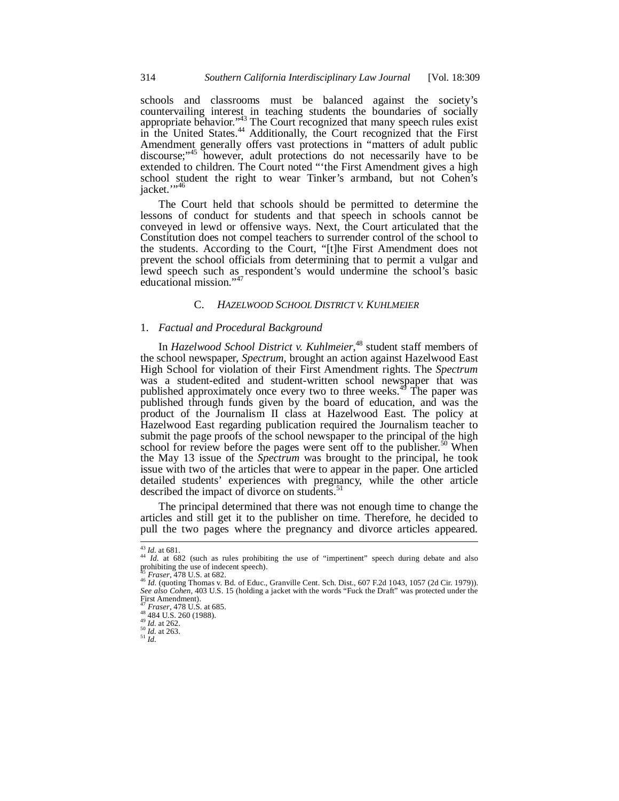schools and classrooms must be balanced against the society's countervailing interest in teaching students the boundaries of socially appropriate behavior." $\frac{^{143}}{^{11}}$  The Court recognized that many speech rules exist in the United States.<sup>44</sup> Additionally, the Court recognized that the First Amendment generally offers vast protections in "matters of adult public discourse;"<sup>45</sup> however, adult protections do not necessarily have to be extended to children. The Court noted "'the First Amendment gives a high school student the right to wear Tinker's armband, but not Cohen's jacket."<sup>\*\*</sup>

The Court held that schools should be permitted to determine the lessons of conduct for students and that speech in schools cannot be conveyed in lewd or offensive ways. Next, the Court articulated that the Constitution does not compel teachers to surrender control of the school to the students. According to the Court, "[t]he First Amendment does not prevent the school officials from determining that to permit a vulgar and lewd speech such as respondent's would undermine the school's basic educational mission."<sup>47</sup>

### C. *HAZELWOOD SCHOOL DISTRICT V. KUHLMEIER*

# 1. *Factual and Procedural Background*

In *Hazelwood School District v. Kuhlmeier*, 48 student staff members of the school newspaper, *Spectrum*, brought an action against Hazelwood East High School for violation of their First Amendment rights. The *Spectrum* was a student-edited and student-written school newspaper that was published approximately once every two to three weeks.<sup>49</sup> The paper was published through funds given by the board of education, and was the product of the Journalism II class at Hazelwood East. The policy at Hazelwood East regarding publication required the Journalism teacher to submit the page proofs of the school newspaper to the principal of the high school for review before the pages were sent off to the publisher.<sup>50</sup> When the May 13 issue of the *Spectrum* was brought to the principal, he took issue with two of the articles that were to appear in the paper. One articled detailed students' experiences with pregnancy, while the other article described the impact of divorce on students.<sup>51</sup>

The principal determined that there was not enough time to change the articles and still get it to the publisher on time. Therefore, he decided to pull the two pages where the pregnancy and divorce articles appeared.

 $\overline{a}$ 

<sup>&</sup>lt;sup>43</sup> *Id.* at 681.<br><sup>44</sup> *Id.* at 682 (such as rules prohibiting the use of "impertinent" speech during debate and also prohibiting the use of indecent speech). *Fraser*, 478 U.S. at 682.<br><sup>45</sup> *Fraser*, 478 U.S. at 682.<br><sup>46</sup> *Id.* (quoting Thomas v. Bd. of Educ., Granville Cent. Sch. Dist., 607 F.2d 1043, 1057 (2d Cir. 1979)).

*See also Cohen*, 403 U.S. 15 (holding a jacket with the words "Fuck the Draft" was protected under the First Amendment).<br> $^{47}$  Fraser, 478 U.S. at 685.

<sup>48 484</sup> U.S. 260 (1988).<br><sup>49</sup> *Id.* at 262.<br><sup>50</sup> *Id.* at 263.<br><sup>51</sup> *Id*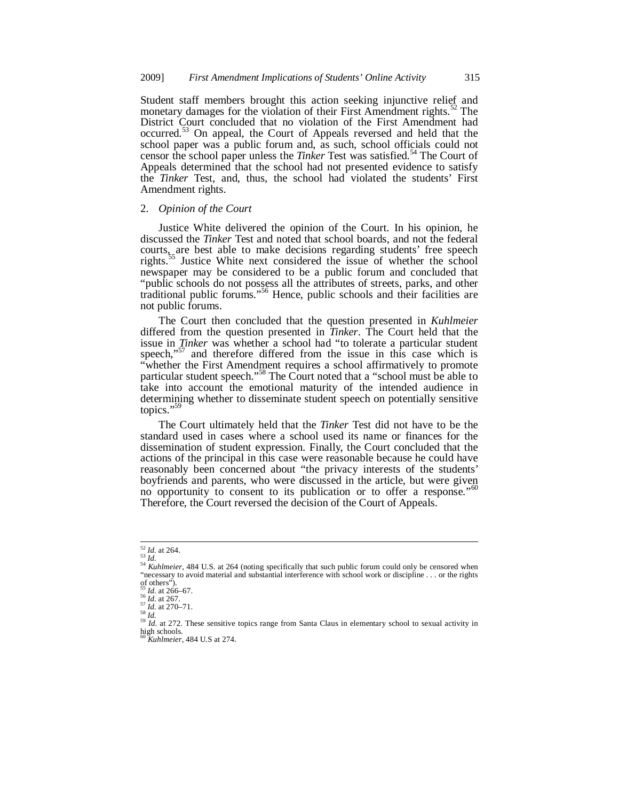Student staff members brought this action seeking injunctive relief and monetary damages for the violation of their First Amendment rights.<sup>52</sup> The District Court concluded that no violation of the First Amendment had occurred.53 On appeal, the Court of Appeals reversed and held that the school paper was a public forum and, as such, school officials could not censor the school paper unless the *Tinker* Test was satisfied.<sup>54</sup> The Court of Appeals determined that the school had not presented evidence to satisfy the *Tinker* Test, and, thus, the school had violated the students' First Amendment rights.

# 2. *Opinion of the Court*

Justice White delivered the opinion of the Court. In his opinion, he discussed the *Tinker* Test and noted that school boards, and not the federal courts, are best able to make decisions regarding students' free speech rights.<sup>55</sup> Justice White next considered the issue of whether the school newspaper may be considered to be a public forum and concluded that "public schools do not possess all the attributes of streets, parks, and other traditional public forums."56 Hence, public schools and their facilities are not public forums.

The Court then concluded that the question presented in *Kuhlmeier* differed from the question presented in *Tinker*. The Court held that the issue in *Tinker* was whether a school had "to tolerate a particular student speech,"<sup>57</sup> and therefore differed from the issue in this case which is "whether the First Amendment requires a school affirmatively to promote particular student speech."<sup>58</sup> The Court noted that a "school must be able to take into account the emotional maturity of the intended audience in determining whether to disseminate student speech on potentially sensitive topics."<sup>59</sup>

The Court ultimately held that the *Tinker* Test did not have to be the standard used in cases where a school used its name or finances for the dissemination of student expression. Finally, the Court concluded that the actions of the principal in this case were reasonable because he could have reasonably been concerned about "the privacy interests of the students' boyfriends and parents, who were discussed in the article, but were given no opportunity to consent to its publication or to offer a response."<sup>60</sup> Therefore, the Court reversed the decision of the Court of Appeals.

 $52$  *Id.* at 264.

<sup>&</sup>lt;sup>53</sup> *Id.* at 264.<br><sup>54</sup> *Kuhlmeier*, 484 U.S. at 264 (noting specifically that such public forum could only be censored when<br>*54 Kuhlmeier*, 484 U.S. at 264 (noting specifically that such public forum could only be censore "necessary to avoid material and substantial interference with school work or discipline . . . or the rights of others").<br>  $\frac{55}{1}$  Id. at 266–67.<br>  $\frac{56}{1}$  Id. at 267.<br>  $\frac{77}{1}$  Id. at 270–71.

<sup>&</sup>lt;sup>55</sup> *Id.* at 266–67.<br><sup>56</sup> *Id.* at 267.<br><sup>57</sup> *Id.* at 270–71.<br><sup>58</sup> *Id.* at 272. These sensitive topics range from Santa Claus in elementary school to sexual activity in <sup>59</sup> *Id.* at 272. These sensitive topics range fro <sup>60</sup> *Kuhlmeier*, 484 U.S at 274.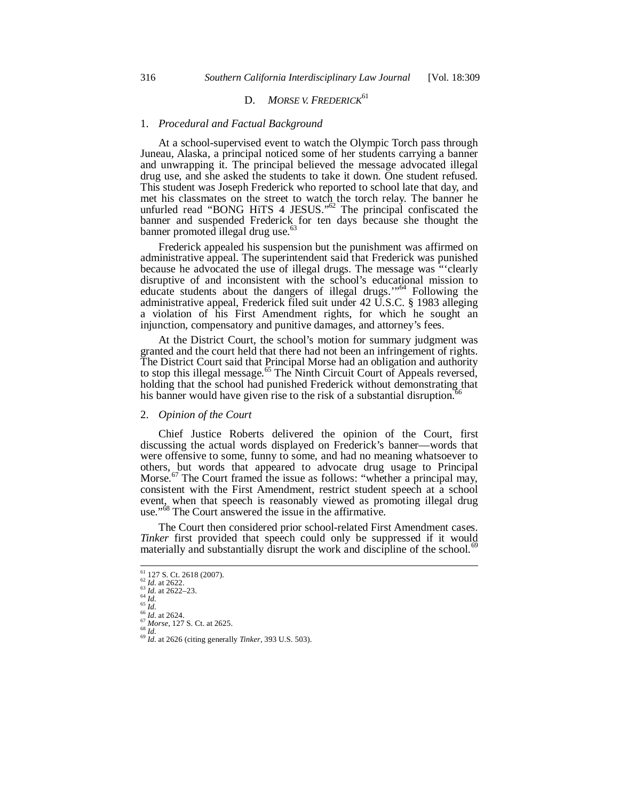# D. *MORSE V. FREDERICK***<sup>61</sup>**

#### 1. *Procedural and Factual Background*

At a school-supervised event to watch the Olympic Torch pass through Juneau, Alaska, a principal noticed some of her students carrying a banner and unwrapping it. The principal believed the message advocated illegal drug use, and she asked the students to take it down. One student refused. This student was Joseph Frederick who reported to school late that day, and met his classmates on the street to watch the torch relay. The banner he unfurled read "BONG HiTS 4 JESUS." $^{62}$  The principal confiscated the banner and suspended Frederick for ten days because she thought the banner promoted illegal drug use. $6$ 

Frederick appealed his suspension but the punishment was affirmed on administrative appeal. The superintendent said that Frederick was punished because he advocated the use of illegal drugs. The message was "'clearly disruptive of and inconsistent with the school's educational mission to educate students about the dangers of illegal drugs.'"64 Following the administrative appeal, Frederick filed suit under 42 U.S.C. § 1983 alleging a violation of his First Amendment rights, for which he sought an injunction, compensatory and punitive damages, and attorney's fees.

At the District Court, the school's motion for summary judgment was granted and the court held that there had not been an infringement of rights. The District Court said that Principal Morse had an obligation and authority to stop this illegal message.<sup>65</sup> The Ninth Circuit Court of Appeals reversed, holding that the school had punished Frederick without demonstrating that his banner would have given rise to the risk of a substantial disruption. $\delta$ 

### 2. *Opinion of the Court*

Chief Justice Roberts delivered the opinion of the Court, first discussing the actual words displayed on Frederick's banner—words that were offensive to some, funny to some, and had no meaning whatsoever to others, but words that appeared to advocate drug usage to Principal Morse.<sup>67</sup> The Court framed the issue as follows: "whether a principal may, consistent with the First Amendment, restrict student speech at a school event, when that speech is reasonably viewed as promoting illegal drug use."<sup>68</sup> The Court answered the issue in the affirmative.

The Court then considered prior school-related First Amendment cases. *Tinker* first provided that speech could only be suppressed if it would materially and substantially disrupt the work and discipline of the school.<sup>69</sup>

<sup>&</sup>lt;sup>61</sup> 127 S. Ct. 2618 (2007).

<sup>&</sup>lt;sup>62</sup> *Id.* at 2622.<br>
<sup>63</sup> *Id.* at 2622-23.<br>
<sup>64</sup> *Id.*<br>
<sup>65</sup> *Id.* at 2622-23.<br>
<sup>64</sup> *Id.*<br>
<sup>66</sup> *Id.*<br>
<sup>66</sup> *Id.*<br>
<sup>67</sup> *Morse*, 127 S. Ct. at 2625.<br>
<sup>68</sup> *Id.*<br>
<sup>69</sup> *Id.* at 2626 (citing generally *Tinker*, 393 U.S. 5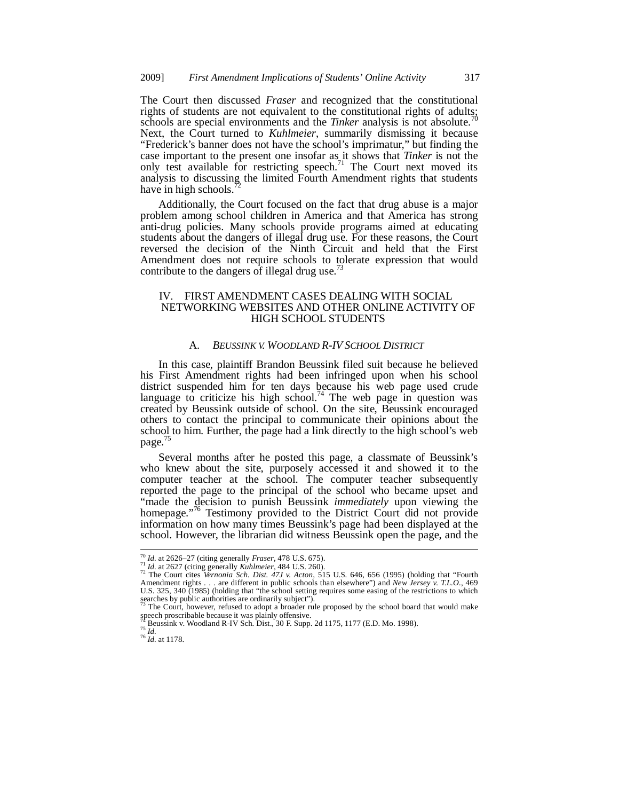The Court then discussed *Fraser* and recognized that the constitutional rights of students are not equivalent to the constitutional rights of adults; schools are special environments and the *Tinker* analysis is not absolute.<sup>7</sup> Next, the Court turned to *Kuhlmeier*, summarily dismissing it because "Frederick's banner does not have the school's imprimatur," but finding the case important to the present one insofar as it shows that *Tinker* is not the only test available for restricting speech.<sup>71</sup> The Court next moved its analysis to discussing the limited Fourth Amendment rights that students have in high schools.<sup>7</sup>

Additionally, the Court focused on the fact that drug abuse is a major problem among school children in America and that America has strong anti-drug policies. Many schools provide programs aimed at educating students about the dangers of illegal drug use. For these reasons, the Court reversed the decision of the Ninth Circuit and held that the First Amendment does not require schools to tolerate expression that would contribute to the dangers of illegal drug use.<sup>73</sup>

### IV. FIRST AMENDMENT CASES DEALING WITH SOCIAL NETWORKING WEBSITES AND OTHER ONLINE ACTIVITY OF HIGH SCHOOL STUDENTS

# A. *BEUSSINK V. WOODLAND R-IV SCHOOL DISTRICT*

In this case, plaintiff Brandon Beussink filed suit because he believed his First Amendment rights had been infringed upon when his school district suspended him for ten days because his web page used crude language to criticize his high school.<sup>74</sup> The web page in question was created by Beussink outside of school. On the site, Beussink encouraged others to contact the principal to communicate their opinions about the school to him. Further, the page had a link directly to the high school's web page.<sup>75</sup>

Several months after he posted this page, a classmate of Beussink's who knew about the site, purposely accessed it and showed it to the computer teacher at the school. The computer teacher subsequently reported the page to the principal of the school who became upset and "made the decision to punish Beussink *immediately* upon viewing the homepage.<sup>776</sup> Testimony provided to the District Court did not provide information on how many times Beussink's page had been displayed at the school. However, the librarian did witness Beussink open the page, and the

 $^{70}$  Id. at 2626-27 (citing generally Fraser, 478 U.S. 675).

<sup>&</sup>lt;sup>11</sup> Id. at 2620 *Li* (citing generally *Kuhlmeier*, 484 U.S. 260).<br><sup>71</sup> Id. at 2627 (citing generally *Kuhlmeier*, 484 U.S. 260).<br><sup>72</sup> The Court cites *Vernonia Sch. Dist. 47J v. Acton*, 515 U.S. 646, 656 (1995) (holding Amendment rights . . . are different in public schools than elsewhere") and *New Jersey v. T.L.O.*, 469 U.S. 325, 340 (1985) (holding that "the school setting requires some easing of the restrictions to which searches by public authorities are ordinarily subject").<br><sup>73</sup> The Court, however, refused to adopt a broader rule proposed by the school board that would make

speech proscribable because it was plainly offensive.<br><sup>74</sup> Beussink v. Woodland R-IV Sch. Dist., 30 F. Supp. 2d 1175, 1177 (E.D. Mo. 1998).<br><sup>75</sup> *Id.* at 1178.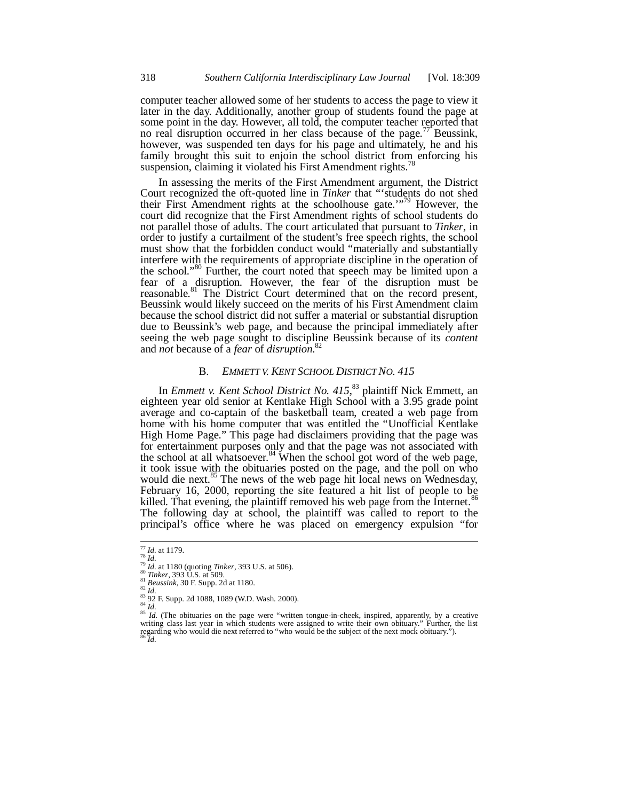computer teacher allowed some of her students to access the page to view it later in the day. Additionally, another group of students found the page at some point in the day. However, all told, the computer teacher reported that no real disruption occurred in her class because of the page.<sup>77</sup> Beussink, however, was suspended ten days for his page and ultimately, he and his family brought this suit to enjoin the school district from enforcing his suspension, claiming it violated his First Amendment rights.<sup>78</sup>

In assessing the merits of the First Amendment argument, the District Court recognized the oft-quoted line in *Tinker* that "'students do not shed their First Amendment rights at the schoolhouse gate.'"<sup>9</sup> However, the court did recognize that the First Amendment rights of school students do not parallel those of adults. The court articulated that pursuant to *Tinker*, in order to justify a curtailment of the student's free speech rights, the school must show that the forbidden conduct would "materially and substantially interfere with the requirements of appropriate discipline in the operation of the school."80 Further, the court noted that speech may be limited upon a fear of a disruption. However, the fear of the disruption must be reasonable.<sup>81</sup> The District Court determined that on the record present, Beussink would likely succeed on the merits of his First Amendment claim because the school district did not suffer a material or substantial disruption due to Beussink's web page, and because the principal immediately after seeing the web page sought to discipline Beussink because of its *content* and *not* because of a *fear* of *disruption*. 82

### B. *EMMETT V. KENT SCHOOL DISTRICT NO. 415*

In *Emmett v. Kent School District No. 415*, 83 plaintiff Nick Emmett, an eighteen year old senior at Kentlake High School with a 3.95 grade point average and co-captain of the basketball team, created a web page from home with his home computer that was entitled the "Unofficial Kentlake High Home Page." This page had disclaimers providing that the page was for entertainment purposes only and that the page was not associated with the school at all whatsoever.<sup>84</sup> When the school got word of the web page, it took issue with the obituaries posted on the page, and the poll on who would die next.<sup>85</sup> The news of the web page hit local news on Wednesday, February 16, 2000, reporting the site featured a hit list of people to be killed. That evening, the plaintiff removed his web page from the Internet. $\delta$ The following day at school, the plaintiff was called to report to the principal's office where he was placed on emergency expulsion "for

 $177$  *Id.* at 1179.

<sup>&</sup>lt;sup>78</sup> *Id.*<br><sup>79</sup> *Id.* at 1180 (quoting *Tinker*, 393 U.S. at 506).<br><sup>81</sup> *Tinker*, 393 U.S. at 509.<br><sup>82</sup> *Id. Beussink*, 30 F. Supp. 2d at 1180.<br><sup>82</sup> *Id.* (The obtuaries on the page were "written tongue-in-cheek, inspir writing class last year in which students were assigned to write their own obituary." Further, the list regarding who would die next referred to "who would be the subject of the next mock obituary."). <sup>86</sup> *Id.*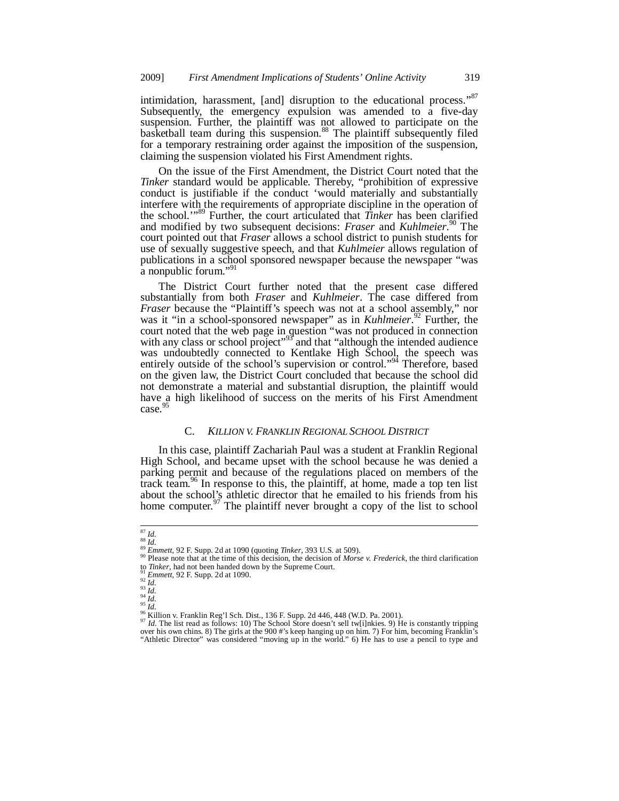intimidation, harassment, [and] disruption to the educational process."<sup>87</sup> Subsequently, the emergency expulsion was amended to a five-day suspension. Further, the plaintiff was not allowed to participate on the basketball team during this suspension.<sup>88</sup> The plaintiff subsequently filed for a temporary restraining order against the imposition of the suspension, claiming the suspension violated his First Amendment rights.

On the issue of the First Amendment, the District Court noted that the *Tinker* standard would be applicable. Thereby, "prohibition of expressive conduct is justifiable if the conduct 'would materially and substantially interfere with the requirements of appropriate discipline in the operation of the school.'"89 Further, the court articulated that *Tinker* has been clarified and modified by two subsequent decisions: *Fraser* and *Kuhlmeier*. 90 The court pointed out that *Fraser* allows a school district to punish students for use of sexually suggestive speech, and that *Kuhlmeier* allows regulation of publications in a school sponsored newspaper because the newspaper "was a nonpublic forum."<sup>91</sup>

The District Court further noted that the present case differed substantially from both *Fraser* and *Kuhlmeier*. The case differed from *Fraser* because the "Plaintiff's speech was not at a school assembly," nor was it "in a school-sponsored newspaper" as in *Kuhlmeier*.<sup>92</sup> Further, the court noted that the web page in question "was not produced in connection with any class or school project"<sup>93</sup> and that "although the intended audience was undoubtedly connected to Kentlake High School, the speech was entirely outside of the school's supervision or control."<sup>94</sup> Therefore, based on the given law, the District Court concluded that because the school did not demonstrate a material and substantial disruption, the plaintiff would have a high likelihood of success on the merits of his First Amendment case.<sup>9</sup>

### C. *KILLION V. FRANKLIN REGIONAL SCHOOL DISTRICT*

In this case, plaintiff Zachariah Paul was a student at Franklin Regional High School, and became upset with the school because he was denied a parking permit and because of the regulations placed on members of the track team.<sup>96</sup> In response to this, the plaintiff, at home, made a top ten list about the school's athletic director that he emailed to his friends from his home computer.<sup>97</sup> The plaintiff never brought a copy of the list to school

j

<sup>&</sup>lt;sup>87</sup> Id.<br><sup>88</sup> Id.<br><sup>89</sup> Emmett, 92 F. Supp. 2d at 1090 (quoting *Tinker*, 393 U.S. at 509).<br><sup>90</sup> Please note that at the time of this decision, the decision of *Morse v. Frederick*, the third clarification <sup>90</sup> Please note that at the time of this decision, the decision of *Morse v. Frederick*, the third clarification<br>to *Tinker*, had not been handed down by the Supreme Court.<br><sup>91</sup> Emmett, 92 F. Supp. 2d at 1090.<br><sup>93</sup> Id.<br><sup></sup>

over his own chins. 8) The girls at the 900 #'s keep hanging up on him. 7) For him, becoming Franklin's "Athletic Director" was considered "moving up in the world." 6) He has to use a pencil to type and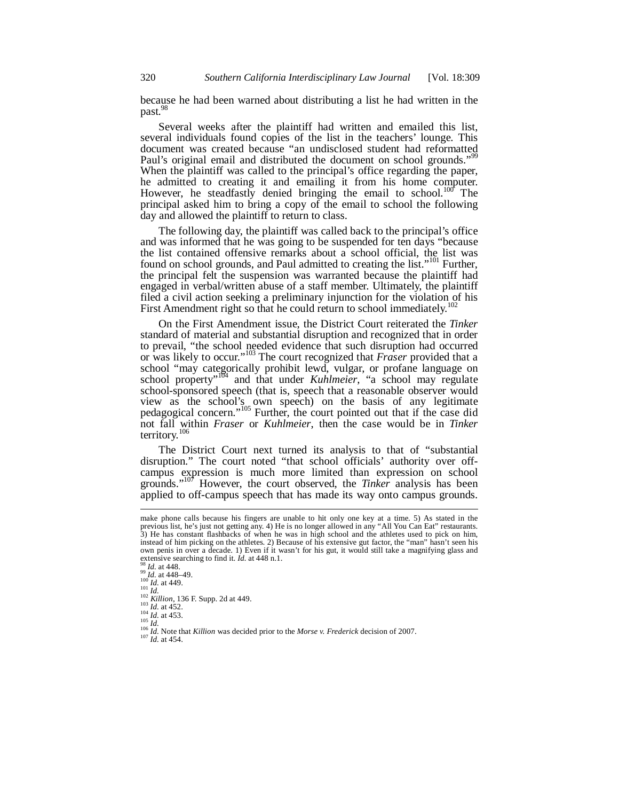because he had been warned about distributing a list he had written in the past.<sup>98</sup>

Several weeks after the plaintiff had written and emailed this list, several individuals found copies of the list in the teachers' lounge. This document was created because "an undisclosed student had reformatted Paul's original email and distributed the document on school grounds." When the plaintiff was called to the principal's office regarding the paper, he admitted to creating it and emailing it from his home computer. However, he steadfastly denied bringing the email to school.<sup>100</sup> The principal asked him to bring a copy of the email to school the following day and allowed the plaintiff to return to class.

The following day, the plaintiff was called back to the principal's office and was informed that he was going to be suspended for ten days "because the list contained offensive remarks about a school official, the list was found on school grounds, and Paul admitted to creating the list."<sup>101</sup> Further, the principal felt the suspension was warranted because the plaintiff had engaged in verbal/written abuse of a staff member. Ultimately, the plaintiff filed a civil action seeking a preliminary injunction for the violation of his First Amendment right so that he could return to school immediately.<sup>10</sup>

On the First Amendment issue, the District Court reiterated the *Tinker* standard of material and substantial disruption and recognized that in order to prevail, "the school needed evidence that such disruption had occurred or was likely to occur."103 The court recognized that *Fraser* provided that a school "may categorically prohibit lewd, vulgar, or profane language on school property<sup>"104</sup> and that under *Kuhlmeier*, "a school may regulate school-sponsored speech (that is, speech that a reasonable observer would view as the school's own speech) on the basis of any legitimate pedagogical concern."<sup>105</sup> Further, the court pointed out that if the case did not fall within *Fraser* or *Kuhlmeier*, then the case would be in *Tinker* territory.<sup>106</sup>

The District Court next turned its analysis to that of "substantial disruption." The court noted "that school officials' authority over offcampus expression is much more limited than expression on school grounds."107 However, the court observed, the *Tinker* analysis has been applied to off-campus speech that has made its way onto campus grounds.

-

make phone calls because his fingers are unable to hit only one key at a time. 5) As stated in the previous list, he's just not getting any. 4) He is no longer allowed in any "All You Can Eat" restaurants. 3) He has constant flashbacks of when he was in high school and the athletes used to pick on him, instead of him picking on the athletes. 2) Because of his extensive gut factor, the "man" hasn't seen his own penis in over a decade. 1) Even if it wasn't for his gut, it would still take a magnifying glass and extensive searching to find it. *Id.* at 448 n.1.

SK *Id.* at 448.<br>
<sup>99</sup> *Id.* at 448.<br>
<sup>99</sup> *Id.* at 448–49.<br>
<sup>100</sup> *Id.* at 449.<br>
<sup>102</sup> *Id.* at 449.<br>
<sup>102</sup> *Id.* at 449.<br>
<sup>102</sup> *Id.* at 452.<br>
<sup>103</sup> *Id.* at 452.<br>
<sup>106</sup> *Id.* at 453.<br>
<sup>106</sup> *Id.* Note that *Killion* wa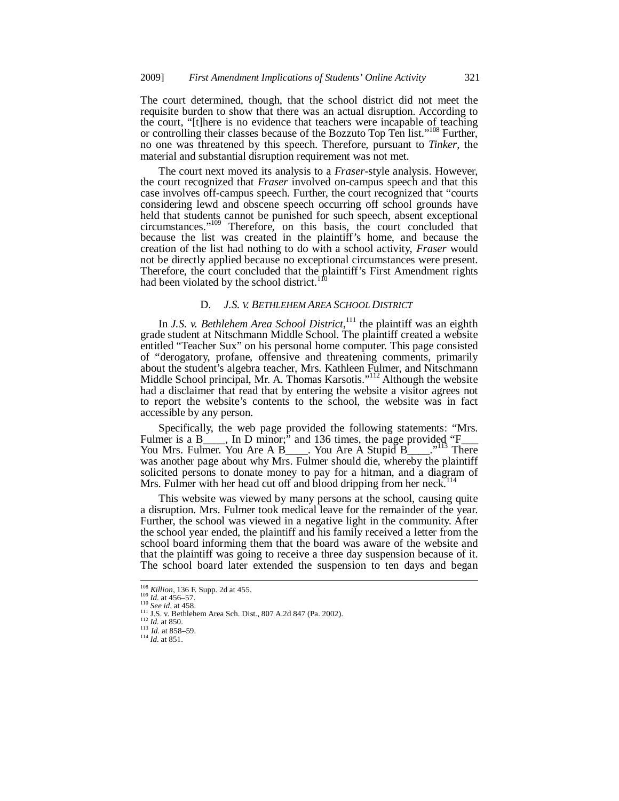The court determined, though, that the school district did not meet the requisite burden to show that there was an actual disruption. According to the court, "[t]here is no evidence that teachers were incapable of teaching or controlling their classes because of the Bozzuto Top Ten list."<sup>108</sup> Further, no one was threatened by this speech. Therefore, pursuant to *Tinker*, the material and substantial disruption requirement was not met.

The court next moved its analysis to a *Fraser*-style analysis. However, the court recognized that *Fraser* involved on-campus speech and that this case involves off-campus speech. Further, the court recognized that "courts considering lewd and obscene speech occurring off school grounds have held that students cannot be punished for such speech, absent exceptional circumstances."109 Therefore, on this basis, the court concluded that because the list was created in the plaintiff's home, and because the creation of the list had nothing to do with a school activity, *Fraser* would not be directly applied because no exceptional circumstances were present. Therefore, the court concluded that the plaintiff's First Amendment rights had been violated by the school district.<sup>110</sup>

### D. *J.S. V. BETHLEHEM AREA SCHOOL DISTRICT*

In *J.S. v. Bethlehem Area School District*, 111 the plaintiff was an eighth grade student at Nitschmann Middle School. The plaintiff created a website entitled "Teacher Sux" on his personal home computer. This page consisted of "derogatory, profane, offensive and threatening comments, primarily about the student's algebra teacher, Mrs. Kathleen Fulmer, and Nitschmann Middle School principal, Mr. A. Thomas Karsotis."<sup>112</sup> Although the website had a disclaimer that read that by entering the website a visitor agrees not to report the website's contents to the school, the website was in fact accessible by any person.

Specifically, the web page provided the following statements: "Mrs. Fulmer is a B<sub>\_\_\_\_</sub>, In D minor; and 136 times, the page provided "F<sub>\_\_\_</sub> You Mrs. Fulmer. You Are A B\_\_\_\_. You Are A Stupid B\_\_\_\_."<sup>113</sup> There was another page about why Mrs. Fulmer should die, whereby the plaintiff solicited persons to donate money to pay for a hitman, and a diagram of Mrs. Fulmer with her head cut off and blood dripping from her neck.<sup>114</sup>

This website was viewed by many persons at the school, causing quite a disruption. Mrs. Fulmer took medical leave for the remainder of the year. Further, the school was viewed in a negative light in the community. After the school year ended, the plaintiff and his family received a letter from the school board informing them that the board was aware of the website and that the plaintiff was going to receive a three day suspension because of it. The school board later extended the suspension to ten days and began

<sup>&</sup>lt;sup>108</sup> Killion, 136 F. Supp. 2d at 455.

<sup>&</sup>lt;sup>109</sup> *Id.* at 456–57.<br>
<sup>109</sup> *Id.* at 456–57.<br>
<sup>110</sup> *See id.* at 458.<br>
<sup>111</sup> J.S. v. Bethlehem Area Sch. Dist., 807 A.2d 847 (Pa. 2002).<br>
<sup>112</sup> *Id.* at 850.<br>
<sup>113</sup> *Id.* at 858–59.<br>
<sup>114</sup> *Id.* at 851.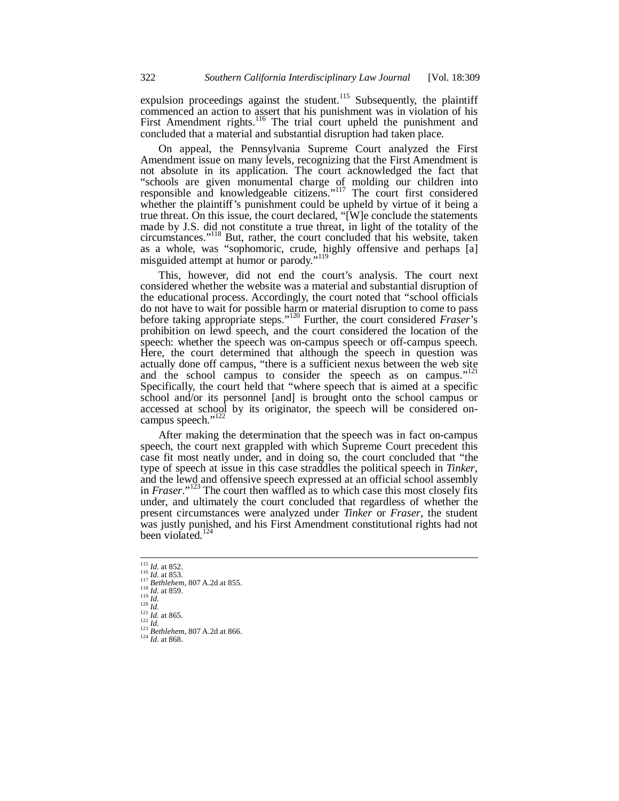expulsion proceedings against the student.<sup>115</sup> Subsequently, the plaintiff commenced an action to assert that his punishment was in violation of his First Amendment rights.<sup>116</sup> The trial court upheld the punishment and concluded that a material and substantial disruption had taken place.

On appeal, the Pennsylvania Supreme Court analyzed the First Amendment issue on many levels, recognizing that the First Amendment is not absolute in its application. The court acknowledged the fact that "schools are given monumental charge of molding our children into responsible and knowledgeable citizens."<sup>117</sup> The court first considered whether the plaintiff's punishment could be upheld by virtue of it being a true threat. On this issue, the court declared, "[W]e conclude the statements made by J.S. did not constitute a true threat, in light of the totality of the circumstances."118 But, rather, the court concluded that his website, taken as a whole, was "sophomoric, crude, highly offensive and perhaps [a] misguided attempt at humor or parody."<sup>119</sup>

This, however, did not end the court's analysis. The court next considered whether the website was a material and substantial disruption of the educational process. Accordingly, the court noted that "school officials do not have to wait for possible harm or material disruption to come to pass before taking appropriate steps."120 Further, the court considered *Fraser*'s prohibition on lewd speech, and the court considered the location of the speech: whether the speech was on-campus speech or off-campus speech. Here, the court determined that although the speech in question was actually done off campus, "there is a sufficient nexus between the web site and the school campus to consider the speech as on campus."<sup>121</sup> Specifically, the court held that "where speech that is aimed at a specific school and/or its personnel [and] is brought onto the school campus or accessed at school by its originator, the speech will be considered oncampus speech."<sup>122</sup>

After making the determination that the speech was in fact on-campus speech, the court next grappled with which Supreme Court precedent this case fit most neatly under, and in doing so, the court concluded that "the type of speech at issue in this case straddles the political speech in *Tinker*, and the lewd and offensive speech expressed at an official school assembly in *Fraser*."<sup>123</sup> The court then waffled as to which case this most closely fits under, and ultimately the court concluded that regardless of whether the present circumstances were analyzed under *Tinker* or *Fraser*, the student was justly punished, and his First Amendment constitutional rights had not been violated.<sup>12</sup>

j

<sup>&</sup>lt;sup>115</sup> *Id.* at 852.<br>
<sup>116</sup> *Id.* at 853.<br>
<sup>117</sup> *Bethlehem*, 807 A.2d at 855.<br>
<sup>117</sup> *Id.* at 859.<br>
<sup>119</sup> *Id.*<br>
<sup>120</sup> *Id.*<br>
<sup>121</sup> *Id.* at 865.<br>
<sup>122</sup> *Id.* at 865.<br>
<sup>122</sup> *Bethlehem*, 807 A.2d at 866.<br>
<sup>124</sup> *Id.* at 8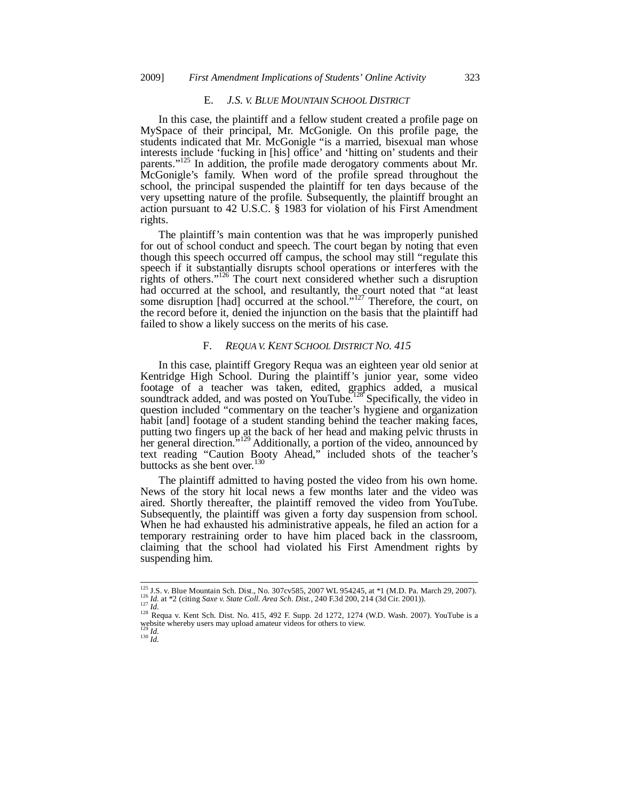### E. *J.S. V. BLUE MOUNTAIN SCHOOL DISTRICT*

In this case, the plaintiff and a fellow student created a profile page on MySpace of their principal, Mr. McGonigle. On this profile page, the students indicated that Mr. McGonigle "is a married, bisexual man whose interests include 'fucking in [his] office' and 'hitting on' students and their parents."<sup>125</sup> In addition, the profile made derogatory comments about Mr. McGonigle's family. When word of the profile spread throughout the school, the principal suspended the plaintiff for ten days because of the very upsetting nature of the profile. Subsequently, the plaintiff brought an action pursuant to 42 U.S.C. § 1983 for violation of his First Amendment rights.

The plaintiff's main contention was that he was improperly punished for out of school conduct and speech. The court began by noting that even though this speech occurred off campus, the school may still "regulate this speech if it substantially disrupts school operations or interferes with the rights of others."<sup>126</sup> The court next considered whether such a disruption had occurred at the school, and resultantly, the court noted that "at least some disruption [had] occurred at the school."<sup>127</sup> Therefore, the court, on the record before it, denied the injunction on the basis that the plaintiff had failed to show a likely success on the merits of his case.

### F. *REQUA V. KENT SCHOOL DISTRICT NO. 415*

In this case, plaintiff Gregory Requa was an eighteen year old senior at Kentridge High School. During the plaintiff's junior year, some video footage of a teacher was taken, edited, graphics added, a musical soundtrack added, and was posted on YouTube.<sup>128</sup> Specifically, the video in question included "commentary on the teacher's hygiene and organization habit [and] footage of a student standing behind the teacher making faces, putting two fingers up at the back of her head and making pelvic thrusts in her general direction.<sup>3,129</sup> Additionally, a portion of the video, announced by text reading "Caution Booty Ahead," included shots of the teacher's buttocks as she bent over. $130$ 

The plaintiff admitted to having posted the video from his own home. News of the story hit local news a few months later and the video was aired. Shortly thereafter, the plaintiff removed the video from YouTube. Subsequently, the plaintiff was given a forty day suspension from school. When he had exhausted his administrative appeals, he filed an action for a temporary restraining order to have him placed back in the classroom, claiming that the school had violated his First Amendment rights by suspending him.

j

<sup>&</sup>lt;sup>125</sup> J.S. v. Blue Mountain Sch. Dist., No. 307cv585, 2007 WL 954245, at \*1 (M.D. Pa. March 29, 2007).<br><sup>126</sup> *Id.* at \*2 (citing *Saxe v. State Coll. Area Sch. Dist.*, 240 F.3d 200, 214 (3d Cir. 2001)).<br><sup>127</sup> *Id.*<br><sup>128</sup>

website whereby users may upload amateur videos for others to view.<br><sup>129</sup> *Id.* 130 *Id.*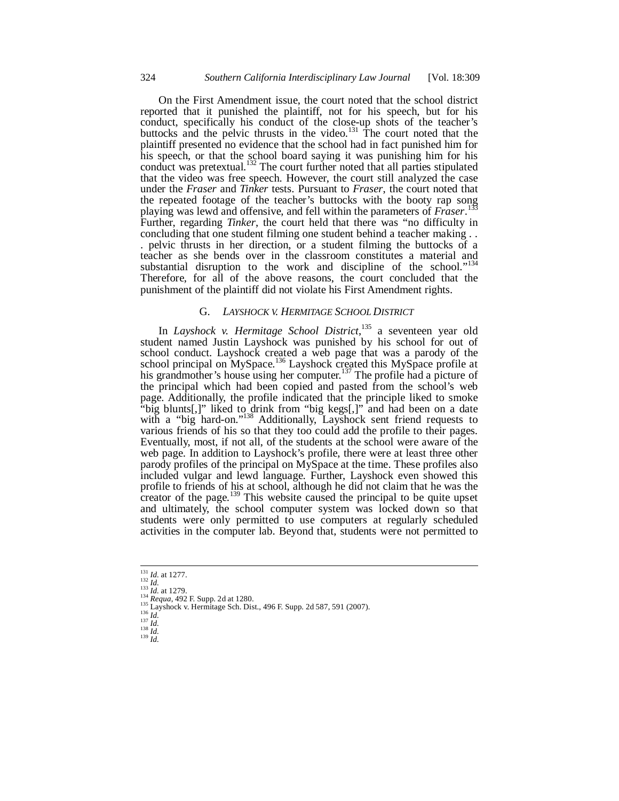On the First Amendment issue, the court noted that the school district reported that it punished the plaintiff, not for his speech, but for his conduct, specifically his conduct of the close-up shots of the teacher's buttocks and the pelvic thrusts in the video.<sup>131</sup> The court noted that the plaintiff presented no evidence that the school had in fact punished him for his speech, or that the school board saying it was punishing him for his conduct was pretextual.<sup>132</sup> The court further noted that all parties stipulated that the video was free speech. However, the court still analyzed the case under the *Fraser* and *Tinker* tests. Pursuant to *Fraser*, the court noted that the repeated footage of the teacher's buttocks with the booty rap song<br>playing was lawd and offensive and fall within the parameters of *Fragga*<sup>133</sup> playing was lewd and offensive, and fell within the parameters of *Fraser*. Further, regarding *Tinker*, the court held that there was "no difficulty in concluding that one student filming one student behind a teacher making . . . pelvic thrusts in her direction, or a student filming the buttocks of a teacher as she bends over in the classroom constitutes a material and substantial disruption to the work and discipline of the school."<sup>134</sup> Therefore, for all of the above reasons, the court concluded that the punishment of the plaintiff did not violate his First Amendment rights.

# G. *LAYSHOCK V. HERMITAGE SCHOOL DISTRICT*

In *Layshock v. Hermitage School District*, 135 a seventeen year old student named Justin Layshock was punished by his school for out of school conduct. Layshock created a web page that was a parody of the school principal on MySpace.<sup>136</sup> Layshock created this MySpace profile at his grandmother's house using her computer.<sup>137</sup> The profile had a picture of the principal which had been copied and pasted from the school's web page. Additionally, the profile indicated that the principle liked to smoke "big blunts[,]" liked to drink from "big kegs[,]" and had been on a date with a "big hard-on."<sup>138</sup> Additionally, Layshock sent friend requests to various friends of his so that they too could add the profile to their pages. Eventually, most, if not all, of the students at the school were aware of the web page. In addition to Layshock's profile, there were at least three other parody profiles of the principal on MySpace at the time. These profiles also included vulgar and lewd language. Further, Layshock even showed this profile to friends of his at school, although he did not claim that he was the creator of the page.<sup>139</sup> This website caused the principal to be quite upset and ultimately, the school computer system was locked down so that students were only permitted to use computers at regularly scheduled activities in the computer lab. Beyond that, students were not permitted to

<sup>131</sup> *Id.* at 1277.<br>
<sup>132</sup> *Id.*<br>
<sup>133</sup> *Id.*<br>
<sup>133</sup> *Requa*, 492 F. Supp. 2d at 1280.<br>
<sup>135</sup> Layshock v. Hermitage Sch. Dist., 496 F. Supp. 2d 587, 591 (2007).<br>
<sup>136</sup> *Id.*<br>
<sup>137</sup> *Id.*<br>
<sup>137</sup> *Id.*<br>
<sup>137</sup> *Id.* 

j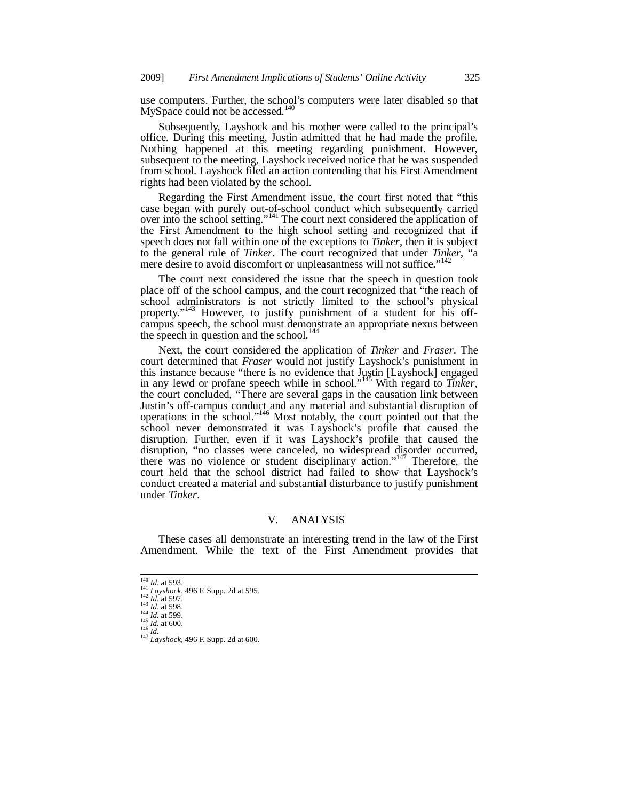use computers. Further, the school's computers were later disabled so that MySpace could not be accessed.<sup>140</sup>

Subsequently, Layshock and his mother were called to the principal's office. During this meeting, Justin admitted that he had made the profile. Nothing happened at this meeting regarding punishment. However, subsequent to the meeting, Layshock received notice that he was suspended from school. Layshock filed an action contending that his First Amendment rights had been violated by the school.

Regarding the First Amendment issue, the court first noted that "this case began with purely out-of-school conduct which subsequently carried over into the school setting."141 The court next considered the application of the First Amendment to the high school setting and recognized that if speech does not fall within one of the exceptions to *Tinker*, then it is subject to the general rule of *Tinker*. The court recognized that under *Tinker*, "a mere desire to avoid discomfort or unpleasantness will not suffice."<sup>142</sup>

The court next considered the issue that the speech in question took place off of the school campus, and the court recognized that "the reach of school administrators is not strictly limited to the school's physical property."<sup>143</sup> However, to justify punishment of a student for his offcampus speech, the school must demonstrate an appropriate nexus between the speech in question and the school.<sup>144</sup>

Next, the court considered the application of *Tinker* and *Fraser*. The court determined that *Fraser* would not justify Layshock's punishment in this instance because "there is no evidence that Justin [Layshock] engaged in any lewd or profane speech while in school."145 With regard to *Tinker*, the court concluded, "There are several gaps in the causation link between Justin's off-campus conduct and any material and substantial disruption of operations in the school."146 Most notably, the court pointed out that the school never demonstrated it was Layshock's profile that caused the disruption. Further, even if it was Layshock's profile that caused the disruption, "no classes were canceled, no widespread disorder occurred, there was no violence or student disciplinary action."147 Therefore, the court held that the school district had failed to show that Layshock's conduct created a material and substantial disturbance to justify punishment under *Tinker*.

# V. ANALYSIS

These cases all demonstrate an interesting trend in the law of the First Amendment. While the text of the First Amendment provides that

 $^{140}$  *Id.* at 593.

<sup>141</sup> *Layshock*, 496 F. Supp. 2d at 595.<br>
142 *Id.* at 597.<br>
143 *Id.* at 598.<br>
144 *Id.* at 599.<br>
145 *Id.* at 600.<br>
146 *Id.*<br>
147 *Layshock*, 496 F. Supp. 2d at 600.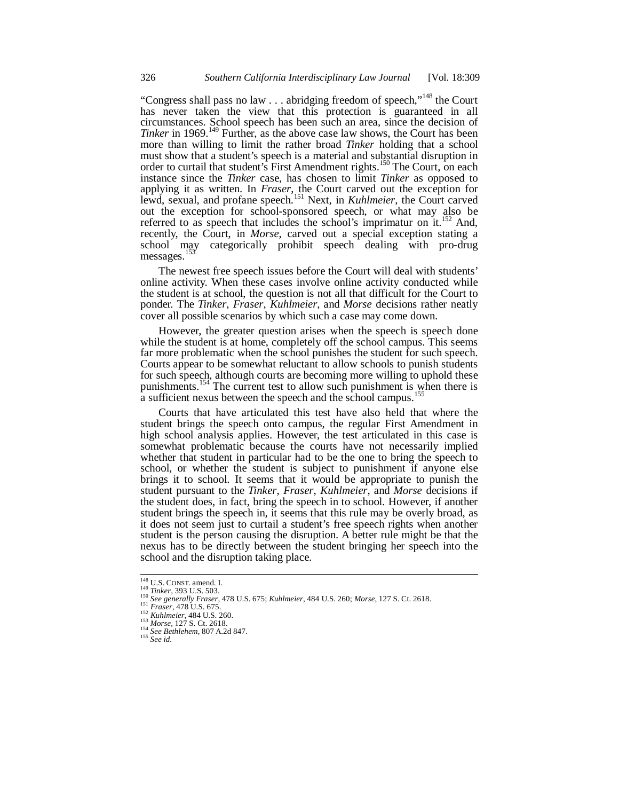"Congress shall pass no law  $\ldots$  abridging freedom of speech,"<sup>148</sup> the Court has never taken the view that this protection is guaranteed in all circumstances. School speech has been such an area, since the decision of *Tinker* in 1969.<sup>149</sup> Further, as the above case law shows, the Court has been more than willing to limit the rather broad *Tinker* holding that a school must show that a student's speech is a material and substantial disruption in order to curtail that student's First Amendment rights.<sup>150</sup> The Court, on each instance since the *Tinker* case, has chosen to limit *Tinker* as opposed to applying it as written. In *Fraser*, the Court carved out the exception for lewd, sexual, and profane speech.<sup>151</sup> Next, in *Kuhlmeier*, the Court carved out the exception for school-sponsored speech, or what may also be referred to as speech that includes the school's imprimatur on it.<sup>152</sup> And, recently, the Court, in *Morse*, carved out a special exception stating a school may categorically prohibit speech dealing with pro-drug messages.<sup>153</sup>

The newest free speech issues before the Court will deal with students' online activity. When these cases involve online activity conducted while the student is at school, the question is not all that difficult for the Court to ponder. The *Tinker*, *Fraser*, *Kuhlmeier*, and *Morse* decisions rather neatly cover all possible scenarios by which such a case may come down.

However, the greater question arises when the speech is speech done while the student is at home, completely off the school campus. This seems far more problematic when the school punishes the student for such speech. Courts appear to be somewhat reluctant to allow schools to punish students for such speech, although courts are becoming more willing to uphold these punishments.<sup>154</sup> The current test to allow such punishment is when there is a sufficient nexus between the speech and the school campus.<sup>155</sup>

Courts that have articulated this test have also held that where the student brings the speech onto campus, the regular First Amendment in high school analysis applies. However, the test articulated in this case is somewhat problematic because the courts have not necessarily implied whether that student in particular had to be the one to bring the speech to school, or whether the student is subject to punishment if anyone else brings it to school. It seems that it would be appropriate to punish the student pursuant to the *Tinker*, *Fraser*, *Kuhlmeier*, and *Morse* decisions if the student does, in fact, bring the speech in to school. However, if another student brings the speech in, it seems that this rule may be overly broad, as it does not seem just to curtail a student's free speech rights when another student is the person causing the disruption. A better rule might be that the nexus has to be directly between the student bringing her speech into the school and the disruption taking place.

<sup>&</sup>lt;sup>148</sup> U.S. CONST. amend. I.

<sup>&</sup>lt;sup>119</sup> Tinker, 393 U.S. 503.<br><sup>150</sup> *Sinker*, 393 U.S. 503.<br><sup>150</sup> *See generally Fraser*, 478 U.S. 675; *Kuhlmeier*, 484 U.S. 260; *Morse*, 127 S. Ct. 2618.<br><sup>150</sup> *Fraser*, 478 U.S. 265.<br><sup>151</sup> *Fraser*, 478 U.S. 260.<br><sup>153</sup>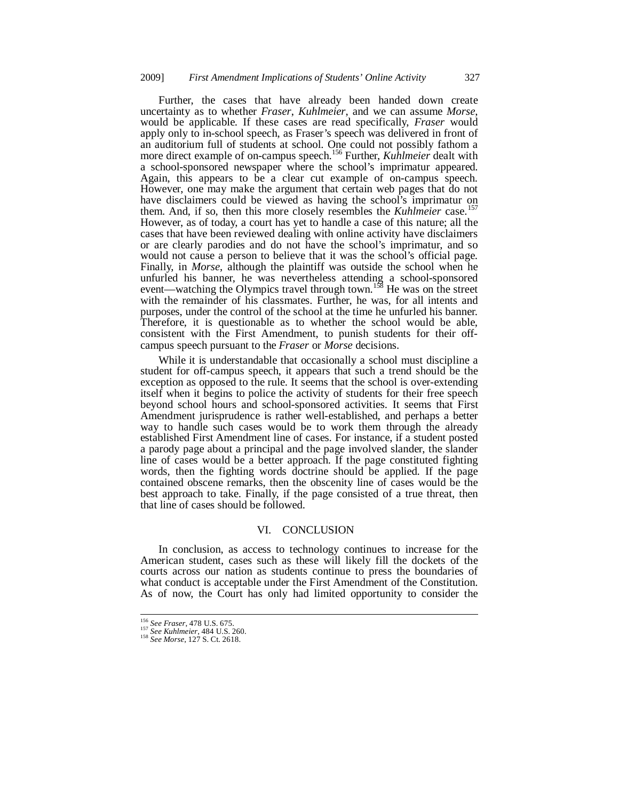Further, the cases that have already been handed down create uncertainty as to whether *Fraser*, *Kuhlmeier*, and we can assume *Morse*, would be applicable. If these cases are read specifically, *Fraser* would apply only to in-school speech, as Fraser's speech was delivered in front of an auditorium full of students at school. One could not possibly fathom a more direct example of on-campus speech.156 Further, *Kuhlmeier* dealt with a school-sponsored newspaper where the school's imprimatur appeared. Again, this appears to be a clear cut example of on-campus speech. However, one may make the argument that certain web pages that do not have disclaimers could be viewed as having the school's imprimatur on them. And, if so, then this more closely resembles the *Kuhlmeier* case.<sup>157</sup> However, as of today, a court has yet to handle a case of this nature; all the cases that have been reviewed dealing with online activity have disclaimers or are clearly parodies and do not have the school's imprimatur, and so would not cause a person to believe that it was the school's official page. Finally, in *Morse*, although the plaintiff was outside the school when he unfurled his banner, he was nevertheless attending a school-sponsored event—watching the Olympics travel through town.<sup>158</sup> He was on the street with the remainder of his classmates. Further, he was, for all intents and purposes, under the control of the school at the time he unfurled his banner. Therefore, it is questionable as to whether the school would be able, consistent with the First Amendment, to punish students for their offcampus speech pursuant to the *Fraser* or *Morse* decisions.

While it is understandable that occasionally a school must discipline a student for off-campus speech, it appears that such a trend should be the exception as opposed to the rule. It seems that the school is over-extending itself when it begins to police the activity of students for their free speech beyond school hours and school-sponsored activities. It seems that First Amendment jurisprudence is rather well-established, and perhaps a better way to handle such cases would be to work them through the already established First Amendment line of cases. For instance, if a student posted a parody page about a principal and the page involved slander, the slander line of cases would be a better approach. If the page constituted fighting words, then the fighting words doctrine should be applied. If the page contained obscene remarks, then the obscenity line of cases would be the best approach to take. Finally, if the page consisted of a true threat, then that line of cases should be followed.

### VI. CONCLUSION

In conclusion, as access to technology continues to increase for the American student, cases such as these will likely fill the dockets of the courts across our nation as students continue to press the boundaries of what conduct is acceptable under the First Amendment of the Constitution. As of now, the Court has only had limited opportunity to consider the

j

<sup>&</sup>lt;sup>156</sup> *See Fraser*, 478 U.S. 675.<br><sup>157</sup> *See Kuhlmeier*, 484 U.S. 260.<br><sup>158</sup> *See Morse*, 127 S. Ct. 2618.